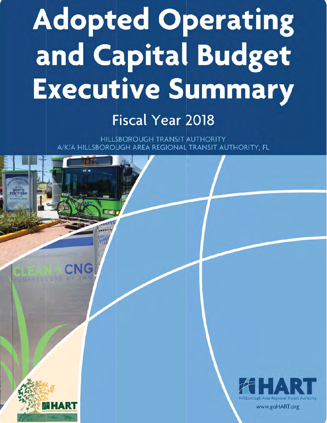## **Adopted Operating** and Capital Budget **Executive Summary**

## **Fiscal Year 2018**

HILLSBOROUGH TRANSIT AUTHORITY A/K/A HILLSBOROUGH AREA REGIONAL TRANSIT AUTHORITY, FL

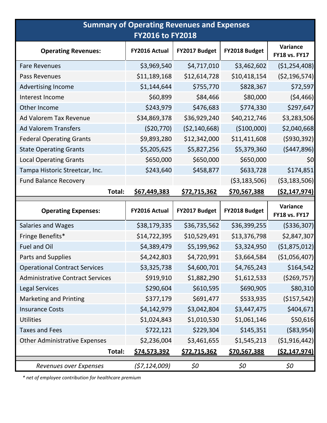| <b>Summary of Operating Revenues and Expenses</b><br><b>FY2016 to FY2018</b> |                     |                     |                     |                                  |  |
|------------------------------------------------------------------------------|---------------------|---------------------|---------------------|----------------------------------|--|
| <b>Operating Revenues:</b>                                                   | FY2016 Actual       | FY2017 Budget       | FY2018 Budget       | Variance<br><b>FY18 vs. FY17</b> |  |
| <b>Fare Revenues</b>                                                         | \$3,969,540         | \$4,717,010         | \$3,462,602         | (\$1,254,408)                    |  |
| Pass Revenues                                                                | \$11,189,168        | \$12,614,728        | \$10,418,154        | ( \$2,196,574)                   |  |
| Advertising Income                                                           | \$1,144,644         | \$755,770           | \$828,367           | \$72,597                         |  |
| Interest Income                                                              | \$60,899            | \$84,466            | \$80,000            | (54, 466)                        |  |
| Other Income                                                                 | \$243,979           | \$476,683           | \$774,330           | \$297,647                        |  |
| Ad Valorem Tax Revenue                                                       | \$34,869,378        | \$36,929,240        | \$40,212,746        | \$3,283,506                      |  |
| <b>Ad Valorem Transfers</b>                                                  | (\$20,770)          | ( \$2,140,668)      | ( \$100,000]        | \$2,040,668                      |  |
| <b>Federal Operating Grants</b>                                              | \$9,893,280         | \$12,342,000        | \$11,411,608        | ( \$930, 392)                    |  |
| <b>State Operating Grants</b>                                                | \$5,205,625         | \$5,827,256         | \$5,379,360         | ( \$447, 896)                    |  |
| <b>Local Operating Grants</b>                                                | \$650,000           | \$650,000           | \$650,000           | \$0                              |  |
| Tampa Historic Streetcar, Inc.                                               | \$243,640           | \$458,877           | \$633,728           | \$174,851                        |  |
| <b>Fund Balance Recovery</b>                                                 |                     |                     | ( \$3,183,506)      | ( \$3,183,506)                   |  |
| Total:                                                                       | <u>\$67,449,383</u> | <u>\$72,715,362</u> | \$70,567,388        | <u>(\$2,147,974)</u>             |  |
|                                                                              |                     |                     |                     |                                  |  |
| <b>Operating Expenses:</b>                                                   | FY2016 Actual       | FY2017 Budget       | FY2018 Budget       | Variance<br><b>FY18 vs. FY17</b> |  |
| <b>Salaries and Wages</b>                                                    | \$38,179,335        | \$36,735,562        | \$36,399,255        | ( \$336, 307)                    |  |
| Fringe Benefits*                                                             | \$14,722,395        | \$10,529,491        | \$13,376,798        | \$2,847,307                      |  |
| <b>Fuel and Oil</b>                                                          | \$4,389,479         | \$5,199,962         | \$3,324,950         | (\$1,875,012)                    |  |
| Parts and Supplies                                                           | \$4,242,803         | \$4,720,991         | \$3,664,584         | ( \$1,056,407)                   |  |
| <b>Operational Contract Services</b>                                         | \$3,325,738         | \$4,600,701         | \$4,765,243         | \$164,542                        |  |
| <b>Administrative Contract Services</b>                                      | \$919,910           | \$1,882,290         | \$1,612,533         | ( \$269, 757]                    |  |
| <b>Legal Services</b>                                                        | \$290,604           | \$610,595           | \$690,905           | \$80,310                         |  |
| <b>Marketing and Printing</b>                                                | \$377,179           | \$691,477           | \$533,935           | (\$157,542)                      |  |
| <b>Insurance Costs</b>                                                       | \$4,142,979         | \$3,042,804         | \$3,447,475         | \$404,671                        |  |
| <b>Utilities</b>                                                             | \$1,024,843         | \$1,010,530         | \$1,061,146         | \$50,616                         |  |
| <b>Taxes and Fees</b>                                                        | \$722,121           | \$229,304           | \$145,351           | ( \$83, 954]                     |  |
| <b>Other Administrative Expenses</b>                                         | \$2,236,004         | \$3,461,655         | \$1,545,213         | ( \$1,916,442]                   |  |
| Total:                                                                       | <u>\$74,573,392</u> | <u>\$72,715,362</u> | <u>\$70,567,388</u> | <u>(\$2,147,974)</u>             |  |

 *\* net of employee contribution for healthcare premium*